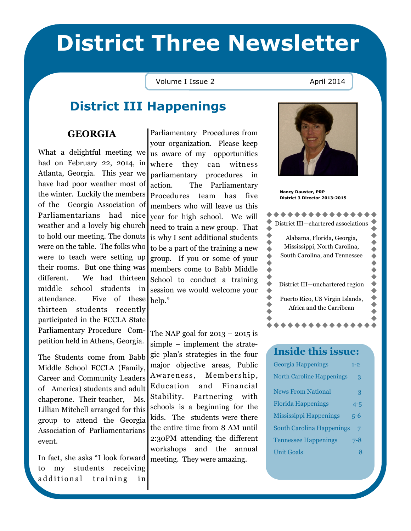# District Three Newsletter

### Volume I Issue 2 April 2014

## District III Happenings

### GEORGIA

What a delightful meeting we had on February 22, 2014, in Atlanta, Georgia. This year we have had poor weather most of the winter. Luckily the members of the Georgia Association of Parliamentarians had nice weather and a lovely big church to hold our meeting. The donuts were on the table. The folks who were to teach were setting up their rooms. But one thing was different. We had thirteen middle school students in attendance. Five of these help." thirteen students recently participated in the FCCLA State Parliamentary Procedure Competition held in Athens, Georgia.

The Students come from Babb Middle School FCCLA (Family, Career and Community Leaders of America) students and adult chaperone. Their teacher, Ms. Lillian Mitchell arranged for this group to attend the Georgia Association of Parliamentarians event.

In fact, she asks "I look forward meeting. They were amazing. to my students receiving additional training in

Parliamentary Procedures from your organization. Please keep us aware of my opportunities where they can witness parliamentary procedures in action. The Parliamentary Procedures team has five members who will leave us this year for high school. We will need to train a new group. That is why I sent additional students to be a part of the training a new group. If you or some of your members come to Babb Middle School to conduct a training session we would welcome your

The NAP goal for  $2013 - 2015$  is simple – implement the strategic plan's strategies in the four major objective areas, Public Awareness, Membership, Education and Financial Stability. Partnering with schools is a beginning for the kids. The students were there the entire time from 8 AM until 2:30PM attending the different workshops and the annual



Nancy Dauster, PRP District 3 Director 2013-2015

| District III-chartered associations                         |
|-------------------------------------------------------------|
| Alabama, Florida, Georgia,                                  |
| Mississippi, North Carolina,                                |
| South Carolina, and Tennessee                               |
|                                                             |
|                                                             |
| District III-unchartered region                             |
| Puerto Rico, US Virgin Islands,<br>Africa and the Carribean |
|                                                             |

**AAAAAAAAAAAA** 

### Inside this issue:

| Georgia Happenings               | $1 - 2$ |
|----------------------------------|---------|
| <b>North Caroline Happenings</b> | 3       |
| <b>News From National</b>        | 3       |
| <b>Florida Happenings</b>        | $4 - 5$ |
| <b>Mississippi Happenings</b>    | 5-6     |
| South Carolina Happenings        |         |
| <b>Tennessee Happenings</b>      | 7-8     |
| <b>Unit Goals</b>                | x       |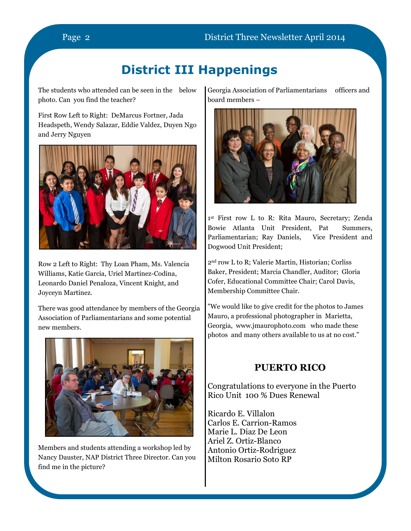The students who attended can be seen in the below photo. Can you find the teacher?

First Row Left to Right: DeMarcus Fortner, Jada Headspeth, Wendy Salazar, Eddie Valdez, Duyen Ngo and Jerry Nguyen



Row 2 Left to Right: Thy Loan Pham, Ms. Valencia Williams, Katie Garcia, Uriel Martinez-Codina, Leonardo Daniel Penaloza, Vincent Knight, and Joyceyn Martinez.

There was good attendance by members of the Georgia Association of Parliamentarians and some potential new members.



Members and students attending a workshop led by Nancy Dauster, NAP District Three Director. Can you find me in the picture?

Georgia Association of Parliamentarians officers and board members –



1 st First row L to R: Rita Mauro, Secretary; Zenda Bowie Atlanta Unit President, Pat Summers, Parliamentarian; Ray Daniels, Vice President and Dogwood Unit President;

2nd row L to R; Valerie Martin, Historian; Corliss Baker, President; Marcia Chandler, Auditor; Gloria Cofer, Educational Committee Chair; Carol Davis, Membership Committee Chair.

"We would like to give credit for the photos to James Mauro, a professional photographer in Marietta, Georgia, www.jmaurophoto.com who made these photos and many others available to us at no cost."

### PUERTO RICO

Congratulations to everyone in the Puerto Rico Unit 100 % Dues Renewal

Ricardo E. Villalon Carlos E. Carrion-Ramos Marie L. Diaz De Leon Ariel Z. Ortiz-Blanco Antonio Ortiz-Rodriguez Milton Rosario Soto RP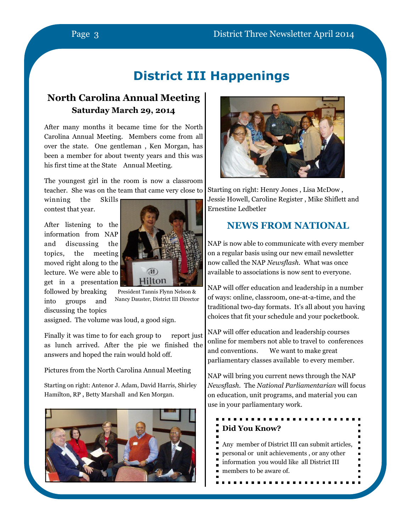### North Carolina Annual Meeting Saturday March 29, 2014

After many months it became time for the North Carolina Annual Meeting. Members come from all over the state. One gentleman , Ken Morgan, has been a member for about twenty years and this was his first time at the State Annual Meeting.

The youngest girl in the room is now a classroom teacher. She was on the team that came very close to Starting on right: Henry Jones , Lisa McDow ,

winning the Skills contest that year.

After listening to the information from NAP and discussing the topics, the meeting moved right along to the lecture. We were able to get in a presentation followed by breaking

into groups and discussing the topics



President Tannis Flynn Nelson & Nancy Dauster, District III Director

assigned. The volume was loud, a good sign.

Finally it was time to for each group to report just as lunch arrived. After the pie we finished the answers and hoped the rain would hold off.

Pictures from the North Carolina Annual Meeting

Starting on right: Antenor J. Adam, David Harris, Shirley Hamilton, RP , Betty Marshall and Ken Morgan.





Jessie Howell, Caroline Register , Mike Shiflett and Ernestine Ledbetler

### NEWS FROM NATIONAL

NAP is now able to communicate with every member on a regular basis using our new email newsletter now called the NAP Newsflash. What was once available to associations is now sent to everyone.

NAP will offer education and leadership in a number of ways: online, classroom, one-at-a-time, and the traditional two-day formats. It's all about you having choices that fit your schedule and your pocketbook.

NAP will offer education and leadership courses online for members not able to travel to conferences and conventions. We want to make great parliamentary classes available to every member.

NAP will bring you current news through the NAP Newsflash. The National Parliamentarian will focus on education, unit programs, and material you can use in your parliamentary work.

### . **. . . . . . . . .** Did You Know?

Any member of District III can submit articles, personal or unit achievements , or any other information you would like all District III members to be aware of.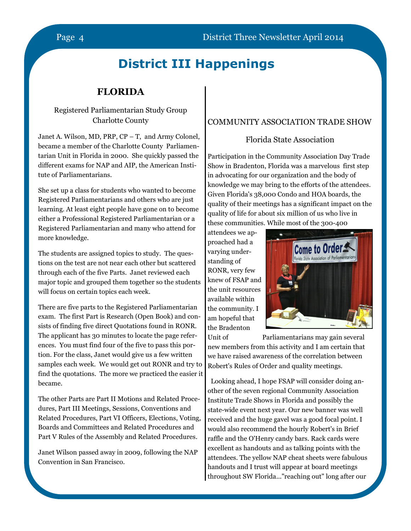### FLORIDA

### Registered Parliamentarian Study Group Charlotte County

Janet A. Wilson, MD, PRP, CP – T, and Army Colonel, became a member of the Charlotte County Parliamentarian Unit in Florida in 2000. She quickly passed the different exams for NAP and AIP, the American Institute of Parliamentarians.

She set up a class for students who wanted to become Registered Parliamentarians and others who are just learning. At least eight people have gone on to become either a Professional Registered Parliamentarian or a Registered Parliamentarian and many who attend for more knowledge.

The students are assigned topics to study. The questions on the test are not near each other but scattered through each of the five Parts. Janet reviewed each major topic and grouped them together so the students will focus on certain topics each week.

There are five parts to the Registered Parliamentarian exam. The first Part is Research (Open Book) and consists of finding five direct Quotations found in RONR. The applicant has 30 minutes to locate the page references. You must find four of the five to pass this portion. For the class, Janet would give us a few written samples each week. We would get out RONR and try to find the quotations. The more we practiced the easier it became.

The other Parts are Part II Motions and Related Procedures, Part III Meetings, Sessions, Conventions and Related Procedures, Part VI Officers, Elections, Voting, Boards and Committees and Related Procedures and Part V Rules of the Assembly and Related Procedures.

Janet Wilson passed away in 2009, following the NAP Convention in San Francisco.

### COMMUNITY ASSOCIATION TRADE SHOW

### Florida State Association

Participation in the Community Association Day Trade Show in Bradenton, Florida was a marvelous first step in advocating for our organization and the body of knowledge we may bring to the efforts of the attendees. Given Florida's 38,000 Condo and HOA boards, the quality of their meetings has a significant impact on the quality of life for about six million of us who live in these communities. While most of the 300-400

attendees we approached had a varying understanding of RONR, very few knew of FSAP and the unit resources available within the community. I am hopeful that the Bradenton



Unit of Parliamentarians may gain several new members from this activity and I am certain that we have raised awareness of the correlation between Robert's Rules of Order and quality meetings.

 Looking ahead, I hope FSAP will consider doing another of the seven regional Community Association Institute Trade Shows in Florida and possibly the state-wide event next year. Our new banner was well received and the huge gavel was a good focal point. I would also recommend the hourly Robert's in Brief raffle and the O'Henry candy bars. Rack cards were excellent as handouts and as talking points with the attendees. The yellow NAP cheat sheets were fabulous handouts and I trust will appear at board meetings throughout SW Florida..."reaching out" long after our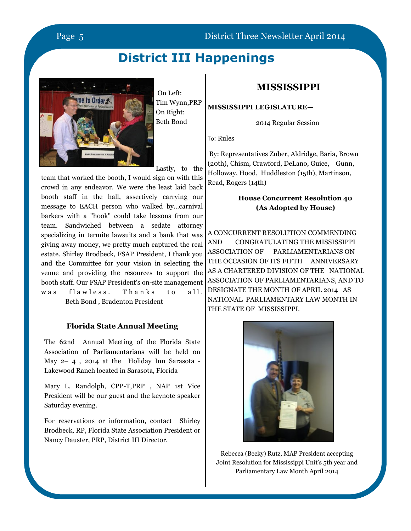### Page 5 District Three Newsletter April 2014

## District III Happenings



 On Left: Tim Wynn,PRP On Right: Beth Bond

### MISSISSIPPI

MISSISSIPPI LEGISLATURE—

2014 Regular Session

To: Rules

Lastly, to the

team that worked the booth, I would sign on with this crowd in any endeavor. We were the least laid back booth staff in the hall, assertively carrying our message to EACH person who walked by...carnival barkers with a "hook" could take lessons from our team. Sandwiched between a sedate attorney specializing in termite lawsuits and a bank that was giving away money, we pretty much captured the real estate. Shirley Brodbeck, FSAP President, I thank you and the Committee for your vision in selecting the venue and providing the resources to support the booth staff. Our FSAP President's on-site management was flawless. Thanks to all. Beth Bond , Bradenton President

### Florida State Annual Meeting

The 62nd Annual Meeting of the Florida State Association of Parliamentarians will be held on May 2– 4 , 2014 at the Holiday Inn Sarasota - Lakewood Ranch located in Sarasota, Florida

Mary L. Randolph, CPP-T,PRP , NAP 1st Vice President will be our guest and the keynote speaker Saturday evening.

For reservations or information, contact Shirley Brodbeck, RP, Florida State Association President or Nancy Dauster, PRP, District III Director.

 By: Representatives Zuber, Aldridge, Baria, Brown (20th), Chism, Crawford, DeLano, Guice, Gunn, Holloway, Hood, Huddleston (15th), Martinson, Read, Rogers (14th)

### House Concurrent Resolution 40 (As Adopted by House)

A CONCURRENT RESOLUTION COMMENDING AND CONGRATULATING THE MISSISSIPPI ASSOCIATION OF PARLIAMENTARIANS ON THE OCCASION OF ITS FIFTH ANNIVERSARY AS A CHARTERED DIVISION OF THE NATIONAL ASSOCIATION OF PARLIAMENTARIANS, AND TO DESIGNATE THE MONTH OF APRIL 2014 AS NATIONAL PARLIAMENTARY LAW MONTH IN THE STATE OF MISSISSIPPI.



Rebecca (Becky) Rutz, MAP President accepting Joint Resolution for Mississippi Unit's 5th year and Parliamentary Law Month April 2014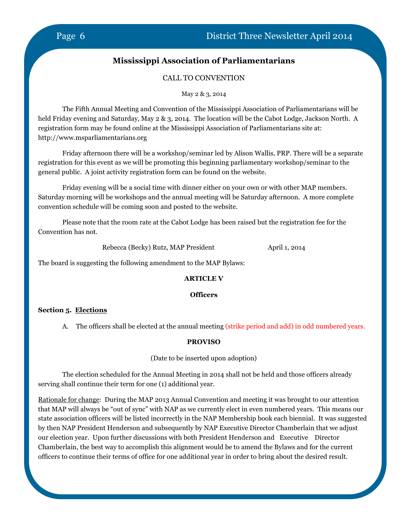### Mississippi Association of Parliamentarians

### CALL TO CONVENTION

May 2 & 3, 2014

 The Fifth Annual Meeting and Convention of the Mississippi Association of Parliamentarians will be held Friday evening and Saturday, May 2 & 3, 2014. The location will be the Cabot Lodge, Jackson North. A registration form may be found online at the Mississippi Association of Parliamentarians site at: http://www.msparliamentarians.org

Friday afternoon there will be a workshop/seminar led by Alison Wallis, PRP. There will be a separate registration for this event as we will be promoting this beginning parliamentary workshop/seminar to the general public. A joint activity registration form can be found on the website.

Friday evening will be a social time with dinner either on your own or with other MAP members. Saturday morning will be workshops and the annual meeting will be Saturday afternoon. A more complete convention schedule will be coming soon and posted to the website.

Please note that the room rate at the Cabot Lodge has been raised but the registration fee for the Convention has not.

Rebecca (Becky) Rutz, MAP President April 1, 2014

The board is suggesting the following amendment to the MAP Bylaws:

### ARTICLE V

### **Officers**

### Section 5. Elections

A. The officers shall be elected at the annual meeting (strike period and add) in odd numbered years.

### PROVISO

(Date to be inserted upon adoption)

 The election scheduled for the Annual Meeting in 2014 shall not be held and those officers already serving shall continue their term for one (1) additional year.

Rationale for change: During the MAP 2013 Annual Convention and meeting it was brought to our attention that MAP will always be "out of sync" with NAP as we currently elect in even numbered years. This means our state association officers will be listed incorrectly in the NAP Membership book each biennial. It was suggested by then NAP President Henderson and subsequently by NAP Executive Director Chamberlain that we adjust our election year. Upon further discussions with both President Henderson and Executive Director Chamberlain, the best way to accomplish this alignment would be to amend the Bylaws and for the current officers to continue their terms of office for one additional year in order to bring about the desired result.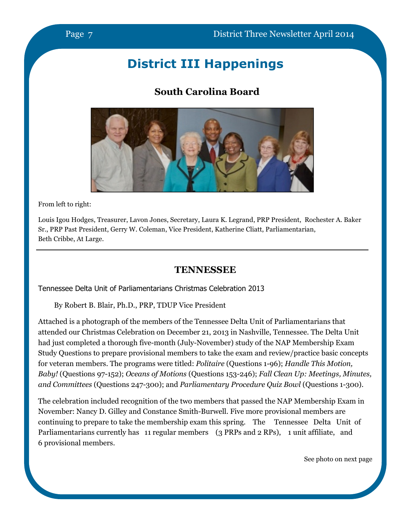### South Carolina Board



From left to right:

Louis Igou Hodges, Treasurer, Lavon Jones, Secretary, Laura K. Legrand, PRP President, Rochester A. Baker Sr., PRP Past President, Gerry W. Coleman, Vice President, Katherine Cliatt, Parliamentarian, Beth Cribbe, At Large.

### **TENNESSEE**

Tennessee Delta Unit of Parliamentarians Christmas Celebration 2013

By Robert B. Blair, Ph.D., PRP, TDUP Vice President

Attached is a photograph of the members of the Tennessee Delta Unit of Parliamentarians that attended our Christmas Celebration on December 21, 2013 in Nashville, Tennessee. The Delta Unit had just completed a thorough five-month (July-November) study of the NAP Membership Exam Study Questions to prepare provisional members to take the exam and review/practice basic concepts for veteran members. The programs were titled: Politaire (Questions 1-96); Handle This Motion, Baby! (Questions 97-152); Oceans of Motions (Questions 153-246); Fall Clean Up: Meetings, Minutes, and Committees (Questions 247-300); and Parliamentary Procedure Quiz Bowl (Questions 1-300).

The celebration included recognition of the two members that passed the NAP Membership Exam in November: Nancy D. Gilley and Constance Smith-Burwell. Five more provisional members are continuing to prepare to take the membership exam this spring. The Tennessee Delta Unit of Parliamentarians currently has 11 regular members (3 PRPs and 2 RPs), 1 unit affiliate, and 6 provisional members.

See photo on next page